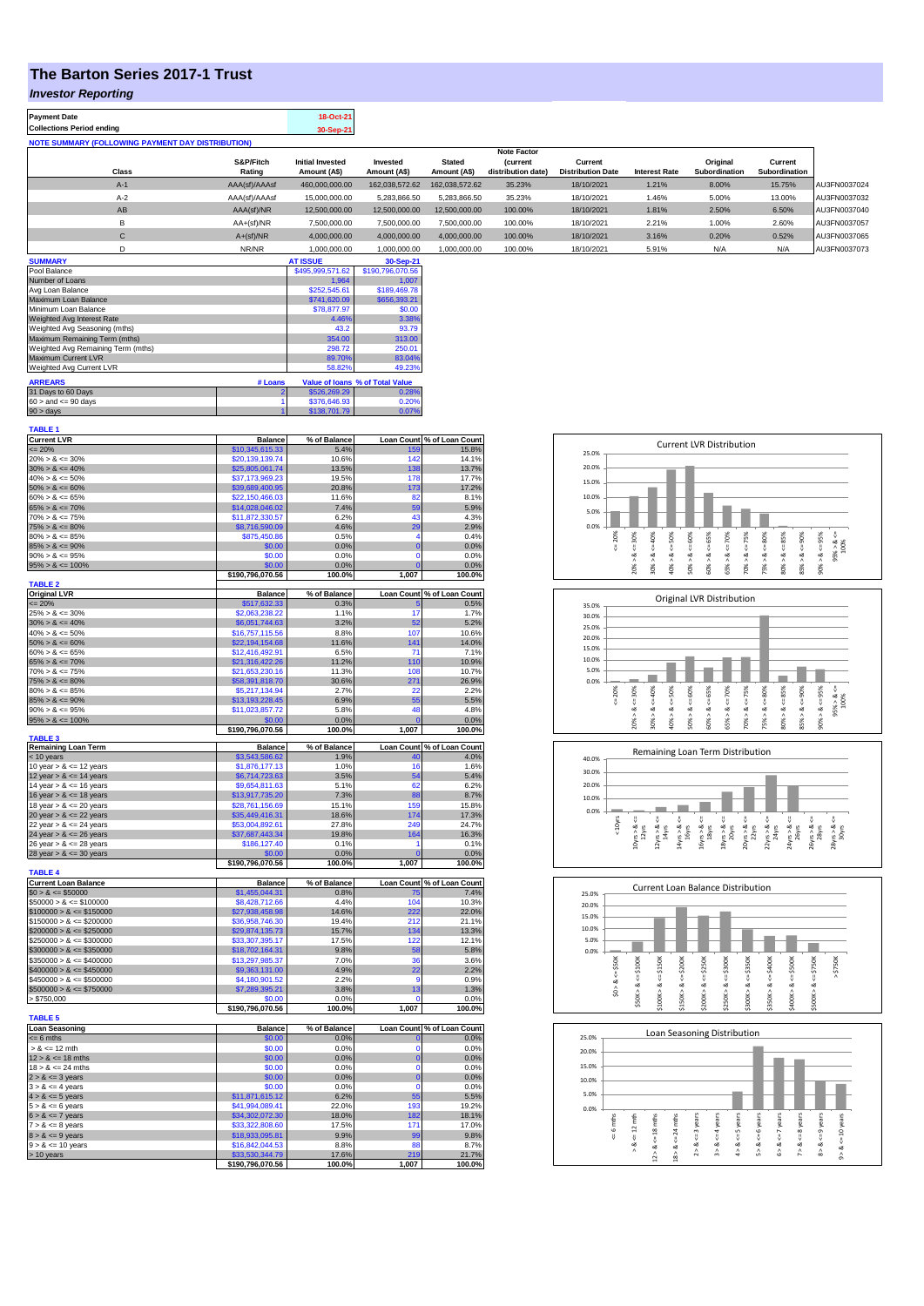## **The Barton Series 2017-1 Trust**

## *Investor Reporting*

| <b>Payment Date</b>                                      | 18-Oct-21 |
|----------------------------------------------------------|-----------|
| <b>Collections Period ending</b>                         | 30-Sep-21 |
| <b>NOTE SUMMARY (FOLLOWING PAYMENT DAY DISTRIBUTION)</b> |           |

|              |               |                         |                |                | <b>Note Factor</b> |                          |                      |               |               |              |
|--------------|---------------|-------------------------|----------------|----------------|--------------------|--------------------------|----------------------|---------------|---------------|--------------|
|              | S&P/Fitch     | <b>Initial Invested</b> | Invested       | <b>Stated</b>  | <b>(current</b>    | Current                  |                      | Original      | Current       |              |
| Class        | Rating        | Amount (A\$)            | Amount (A\$)   | Amount (A\$)   | distribution date) | <b>Distribution Date</b> | <b>Interest Rate</b> | Subordination | Subordination |              |
| $A-1$        | AAA(sf)/AAAsf | 460.000.000.00          | 162.038.572.62 | 162.038.572.62 | 35.23%             | 18/10/2021               | 1.21%                | 8.00%         | 15.75%        | AU3FN0037024 |
| $A-2$        | AAA(sf)/AAAsf | 15,000,000,00           | 5.283.866.50   | 5.283.866.50   | 35.23%             | 18/10/2021               | 1.46%                | 5.00%         | 13.00%        | AU3FN0037032 |
| AB           | AAA(sf)/NR    | 12,500,000.00           | 12.500.000.00  | 12.500.000.00  | 100.00%            | 18/10/2021               | 1.81%                | 2.50%         | 6.50%         | AU3FN0037040 |
| в            | $AA+(sf)/NR$  | 7.500.000.00            | 7.500.000.00   | 7.500.000.00   | 100.00%            | 18/10/2021               | 2.21%                | 1.00%         | 2.60%         | AU3FN0037057 |
| $\mathsf{C}$ | $A+(sf)/NR$   | 4.000.000.00            | 4.000.000.00   | 4.000.000.00   | 100.00%            | 18/10/2021               | 3.16%                | 0.20%         | 0.52%         | AU3FN0037065 |
|              | NR/NR         | 1,000,000.00            | 1,000,000.00   | 1,000,000.00   | 100.00%            | 18/10/2021               | 5.91%                | N/A           | N/A           | AU3FN0037073 |
| ------------ |               | -----------             |                |                |                    |                          |                      |               |               |              |

| <b>SUMMARY</b>                     |         | <b>AT ISSUE</b>  | 30-Sep-21                       |
|------------------------------------|---------|------------------|---------------------------------|
| Pool Balance                       |         | \$495,999,571.62 | \$190,796,070.56                |
| Number of Loans                    |         | 1.964            | 1.007                           |
| Avg Loan Balance                   |         | \$252,545.61     | \$189,469.78                    |
| Maximum Loan Balance               |         | \$741,620.09     | \$656,393.21                    |
| Minimum Loan Balance               |         | \$78,877.97      | \$0.00                          |
| <b>Weighted Avg Interest Rate</b>  |         | 4.46%            | 3.38%                           |
| Weighted Avg Seasoning (mths)      |         | 43.2             | 93.79                           |
| Maximum Remaining Term (mths)      |         | 354.00           | 313.00                          |
| Weighted Avg Remaining Term (mths) |         | 298.72           | 250.01                          |
| Maximum Current LVR                |         | 89.70%           | 83.04%                          |
| Weighted Avg Current LVR           |         | 58.82%           | 49.23%                          |
| <b>ARREARS</b>                     | # Loans |                  | Value of Ioans % of Total Value |
| 31 Days to 60 Days                 |         | \$526,269.29     | 0.28%                           |
| $60 >$ and $\leq 90$ days          |         | \$376,646.93     | 0.20%                           |
| $90 >$ days                        |         | \$138,701.79     | 0.07%                           |

| <b>TABLE 1</b>                               |                                     |                 |                |                            |
|----------------------------------------------|-------------------------------------|-----------------|----------------|----------------------------|
| <b>Current LVR</b>                           | <b>Balance</b>                      | % of Balance    |                | Loan Count % of Loan Count |
| $= 20%$                                      | \$10,345,615.33                     | 5.4%            | 159            | 15.8%                      |
| $20\% > 8 \le 30\%$                          | \$20,139,139.74                     | 10.6%           | 142            | 14.1%                      |
| $30\% > 8 \le 40\%$                          | \$25,805,061.74                     | 13.5%           | 138            | 13.7%                      |
| $40\% > 8 \le 50\%$                          | \$37,173,969.23                     | 19.5%           | 178            | 17.7%                      |
| $50\% > 8 \le 60\%$                          | \$39,689,400.95                     | 20.8%<br>11.6%  | 173<br>82      | 17.2%<br>8.1%              |
| $60\% > 8 \le 65\%$<br>$65\% > 8 \le 70\%$   | \$22,150,466.03<br>\$14,028,046.02  | 7.4%            | 59             | 5.9%                       |
| $70\% > 8 \le 75\%$                          | \$11,872,330.57                     | 6.2%            | 43             | 4.3%                       |
| $75\% > 8 \le 80\%$                          | \$8,716,590.09                      | 4.6%            | 29             | 2.9%                       |
| $80\% > 8 \le 85\%$                          | \$875,450.86                        | 0.5%            | 4              | 0.4%                       |
| $85\% > 8 \le 90\%$                          | \$0.00                              | 0.0%            | $\bf{0}$       | 0.0%                       |
| $90\% > 8 \le 95\%$                          | \$0.00                              | 0.0%            | $\Omega$       | 0.0%                       |
| $95\% > 8 \le 100\%$                         | \$0.00                              | 0.0%            | $\Omega$       | 0.0%                       |
|                                              | \$190,796,070.56                    | 100.0%          | 1,007          | 100.0%                     |
| <b>TABLE 2</b>                               |                                     |                 |                |                            |
| <b>Original LVR</b>                          | <b>Balance</b>                      | % of Balance    |                | Loan Count % of Loan Count |
| $= 20%$                                      | \$517,632.33                        | 0.3%            | 17             | 0.5%                       |
| $25\% > 8 \le 30\%$                          | \$2,063,238.22                      | 1.1%<br>3.2%    | 52             | 1.7%                       |
| $30\% > 8 \le 40\%$<br>$40\% > 8 \le 50\%$   | \$6,051,744.63<br>\$16,757,115.56   | 8.8%            | 107            | 5.2%<br>10.6%              |
| $50\% > 8 \le 60\%$                          | \$22,194,154.68                     | 11.6%           | 141            | 14.0%                      |
| $60\% > 8 \le 65\%$                          | \$12,416,492.91                     | 6.5%            | 71             | 7.1%                       |
| $65\% > 8 \le 70\%$                          | \$21,316,422.26                     | 11.2%           | 110            | 10.9%                      |
| $70\% > 8 \le 75\%$                          | \$21,653,230.16                     | 11.3%           | 108            | 10.7%                      |
| $75\% > 8 \le 80\%$                          | \$58,391,818.70                     | 30.6%           | 271            | 26.9%                      |
| $80\% > 8 \le 85\%$                          | \$5,217,134.94                      | 2.7%            | 22             | 2.2%                       |
| $85\% > 8 \le 90\%$                          | \$13,193,228.45                     | 6.9%            | 55             | 5.5%                       |
| $90\% > 8 \le 95\%$                          | \$11,023,857.72                     | 5.8%            | 48             | 4.8%                       |
| $95\% > 8 \le 100\%$                         | \$0.00                              | 0.0%            | n              | 0.0%                       |
|                                              | \$190,796,070.56                    | 100.0%          | 1,007          | 100.0%                     |
| <b>TABLE 3</b><br><b>Remaining Loan Term</b> | <b>Balance</b>                      | % of Balance    |                | Loan Count % of Loan Count |
| < 10 years                                   | \$3,543,586.62                      | 1.9%            | 40             | 4.0%                       |
| 10 year $> 8 \le 12$ years                   | \$1,876,177.13                      | 1.0%            | 16             | 1.6%                       |
| 12 year $> 8 \le 14$ years                   | \$6,714,723.63                      | 3.5%            | 54             | 5.4%                       |
| 14 year $> 8 \le 16$ years                   | \$9,654,811.63                      | 5.1%            | 62             | 6.2%                       |
| 16 year $> 8 \le 18$ years                   | \$13,917,735.20                     | 7.3%            | 88             | 8.7%                       |
| 18 year $> 8 \le 20$ years                   | \$28,761,156.69                     | 15.1%           | 159            | 15.8%                      |
| 20 year $> 8 \le 22$ years                   | \$35,449,416.31                     | 18.6%           | 174            | 17.3%                      |
| 22 year $> 8 \le 24$ years                   | \$53,004,892.61                     | 27.8%           | 240            | 24.7%                      |
| 24 year $> 8 \le 26$ years                   | \$37,687,443.34                     | 19.8%           | 164            | 16.3%                      |
| 26 year $> 8 \le 28$ years                   | \$186,127.40                        | 0.1%            | 1              | 0.1%                       |
| 28 year $> 8 \le 30$ years                   | \$0.00                              | 0.0%            | n              | 0.0%                       |
| <b>TABLE 4</b>                               | \$190,796,070.56                    | 100.0%          | 1,007          | 100.0%                     |
| <b>Current Loan Balance</b>                  | <b>Balance</b>                      | % of Balance    |                | Loan Count % of Loan Count |
| $$0 > 8 \le $50000$                          | \$1,455,044.31                      | 0.8%            | 75             | 7.4%                       |
| $$50000 > 8 \le $100000$                     | \$8,428,712.66                      | 4.4%            | 104            | 10.3%                      |
| $$100000 > 8 \le $150000$                    | \$27,938,458.98                     | 14.6%           | 222            | 22.0%                      |
| $$150000 > 8 \le $200000$                    | \$36,958,746.30                     | 19.4%           | 212            | 21.1%                      |
| $$200000 > 8 \leq $250000$                   | \$29,874,135.73                     | 15.7%           | 134            | 13.3%                      |
| $$250000 > 8 \le $300000$                    | \$33,307,395.17                     | 17.5%           | 122            | 12.1%                      |
| $$300000 > 8 \le $350000$                    | \$18,702,164.31                     | 9.8%            | 58             | 5.8%                       |
| $$350000 > 8 \le $400000$                    | \$13,297,985.37                     | 7.0%            | 36             | 3.6%                       |
| $$400000 > 8 \le $450000$                    | \$9,363,131.00                      | 4.9%            | 22             | 2.2%                       |
| $$450000 > 8 \le $500000$                    | \$4,180,901.52                      | 2.2%            | g              | 0.9%                       |
| $$500000 > 8 \le $750000$                    | \$7,289,395.21                      | 3.8%            | 13             | 1.3%                       |
| > \$750,000                                  | \$0.00                              | 0.0%            | O              | 0.0%                       |
| <b>TABLE 5</b>                               | \$190,796,070.56                    | 100.0%          | 1,007          | 100.0%                     |
| <b>Loan Seasoning</b>                        | <b>Balance</b>                      | % of Balance    |                | Loan Count % of Loan Count |
| $= 6$ mths                                   | \$0.00                              | 0.0%            | $\mathbf{0}$   | 0.0%                       |
| $> 8 \le 12$ mth                             | \$0.00                              | 0.0%            | $\Omega$       | 0.0%                       |
| $12 > 8 \le 18$ mths                         | \$0.00                              | 0.0%            | $\overline{0}$ | 0.0%                       |
| $18 > 8 \le 24$ mths                         | \$0.00                              | 0.0%            | $\Omega$       | 0.0%                       |
| $2 > 8 \le 3$ years                          | \$0.00                              | 0.0%            | $\overline{0}$ | 0.0%                       |
| $3 > 8 \le 4$ years                          | \$0.00                              | 0.0%            | $\Omega$       | 0.0%                       |
| $4 > 8 \le 5$ years                          | \$11,871,615.12                     | 6.2%            | 55             | 5.5%                       |
| $5 > 8 \le 6$ years                          | \$41,994,089.41                     | 22.0%           | 193            | 19.2%                      |
| $6 > 8 \le 7$ years                          | \$34,302,072.30                     | 18.0%           | 182            | 18.1%                      |
| $7 > 8 \le 8$ years                          | \$33,322,808.60                     | 17.5%           | 171            | 17.0%                      |
| $8 > 8 \le 9$ years                          | \$18,933,095.81                     | 9.9%            | 99             | 9.8%                       |
| $9 > 8 \le 10$ years                         | \$16,842,044.53                     | 8.8%            | 88             | 8.7%                       |
| > 10 years                                   | \$33,530,344.79<br>\$190,796,070.56 | 17.6%<br>100.0% | 219<br>1.007   | 21.7%<br>100.0%            |
|                                              |                                     |                 |                |                            |

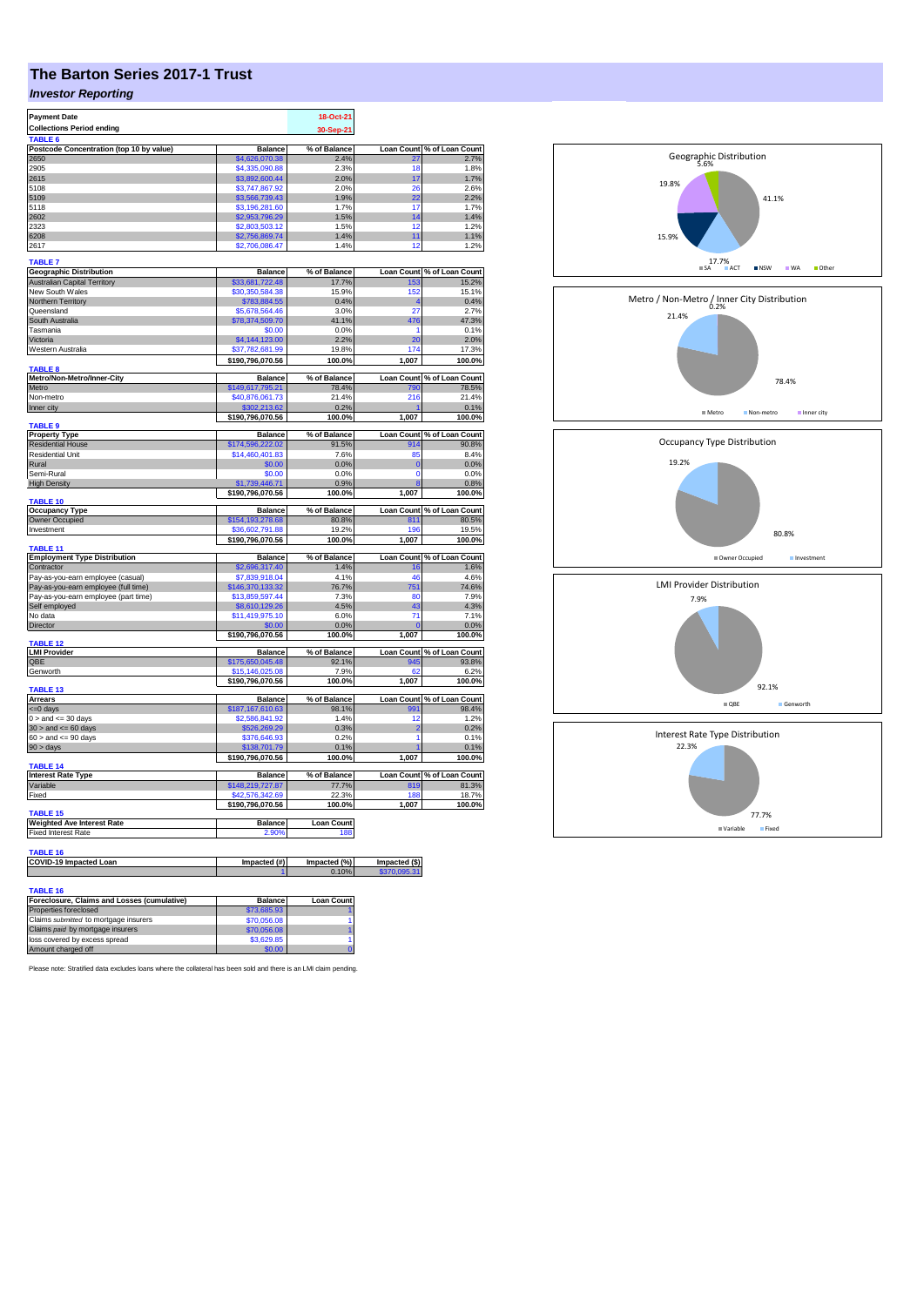## **The Barton Series 2017-1 Trust**

## *Investor Reporting*

| <b>Payment Date</b>                                     |                                     | 18-Oct-21         |                         |                                                     |
|---------------------------------------------------------|-------------------------------------|-------------------|-------------------------|-----------------------------------------------------|
| <b>Collections Period ending</b>                        |                                     | 30-Sep-21         |                         |                                                     |
| TABLE <sub>6</sub>                                      |                                     |                   |                         |                                                     |
| Postcode Concentration (top 10 by value)                | <b>Balance</b>                      | % of Balance      | <b>Loan Count</b>       | % of Loan Count                                     |
| 2650                                                    | \$4,626,070.38                      | 2.4%              | 27                      | 2.7%                                                |
| 2905                                                    | \$4,335,090.88                      | 2.3%              | 18                      | 1.8%                                                |
| 2615                                                    | \$3,892,600.44                      | 2.0%              | 17                      | 1.7%                                                |
| 5108                                                    | \$3,747,867.92                      | 2.0%              | 26                      | 2.6%                                                |
| 5109                                                    | \$3,566,739.43                      | 1.9%              | 22                      | 2.2%                                                |
| 5118                                                    | \$3,196,281.60                      | 1.7%              | 17                      | 1.7%                                                |
| 2602<br>2323                                            | \$2,953,796.29                      | 1.5%<br>1.5%      | 14                      | 1.4%                                                |
| 6208                                                    | \$2,803,503.12                      |                   | 12                      | 1.2%                                                |
|                                                         | \$2,756,869.74                      | 1.4%              | 11                      | 1.1%                                                |
| 2617                                                    | \$2,706,086.47                      | 1.4%              | 12                      | 1.2%                                                |
| <b>TABLE 7</b>                                          |                                     |                   |                         |                                                     |
| <b>Geographic Distribution</b>                          | <b>Balance</b>                      | % of Balance      |                         | Loan Count % of Loan Count                          |
| <b>Australian Capital Territory</b>                     | \$33,681,722.48                     | 17.7%             | 153                     | 15.2%                                               |
| New South Wales                                         | \$30,350,584.38                     | 15.9%             | 152                     | 15.1%                                               |
| Northern Territory                                      | \$783,884.55                        | 0.4%              | $\overline{\mathbf{r}}$ | 0.4%                                                |
| Queensland                                              | \$5,678,564.46                      | 3.0%              | 27                      | 2.7%                                                |
| South Australia                                         | \$78,374,509.70                     | 41.1%             | 476                     | 47.3%                                               |
| Tasmania                                                | \$0.00                              | 0.0%              | 1                       | 0.1%                                                |
| Victoria                                                | \$4,144,123.00                      | 2.2%              | 20<br>174               | 2.0%                                                |
| Western Australia                                       | \$37,782,681.99                     | 19.8%             |                         | 17.3%                                               |
| <b>TABLE 8</b>                                          | \$190,796,070.56                    | 100.0%            | 1,007                   | 100.0%                                              |
| Metro/Non-Metro/Inner-City                              | <b>Balance</b>                      | % of Balance      |                         | Loan Count % of Loan Count                          |
| Metro                                                   | \$149,617,795.21                    | 78.4%             | 790                     | 78.5%                                               |
| Non-metro                                               | \$40,876,061.73                     | 21.4%             | 216                     | 21.4%                                               |
| Inner city                                              | \$302,213.62                        | 0.2%              |                         | 0.1%                                                |
|                                                         | \$190,796,070.56                    | 100.0%            | 1,007                   | 100.0%                                              |
| <b>TABLE 9</b>                                          |                                     |                   |                         |                                                     |
| <b>Property Type</b>                                    | <b>Balance</b>                      | % of Balance      | <b>Loan Count</b>       | % of Loan Count                                     |
| <b>Residential House</b>                                | \$174.596.222.02                    | 91.5%             | 914                     | 90.8%                                               |
| <b>Residential Unit</b>                                 | \$14,460,401.83                     | 7.6%              | 85                      | 8.4%                                                |
| Rural                                                   | \$0.00                              | 0.0%              | $\mathbf{0}$            | 0.0%                                                |
| Semi-Rural                                              | \$0.00                              | 0.0%              | $\Omega$                | 0.0%                                                |
| <b>High Density</b>                                     | \$1,739,446.71                      | 0.9%              | $\overline{8}$          | 0.8%                                                |
| <b>TABLE 10</b>                                         | \$190,796,070.56                    | 100.0%            | 1,007                   | 100.0%                                              |
| <b>Occupancy Type</b>                                   | <b>Balance</b>                      | % of Balance      |                         | Loan Count % of Loan Count                          |
| Owner Occupied                                          | \$154,193,278.68                    | 80.8%             | 811                     | 80.5%                                               |
| Investment                                              | 36.602.791.88                       | 19.2%             | 196                     | 19.5%                                               |
|                                                         | \$190,796,070.56                    | 100.0%            | 1,007                   | 100.0%                                              |
| TABLE 11                                                |                                     |                   |                         |                                                     |
| <b>Employment Type Distribution</b>                     | <b>Balance</b>                      | % of Balance      | <b>Loan Count</b>       | % of Loan Count                                     |
| Contractor                                              |                                     |                   |                         |                                                     |
|                                                         | \$2,696,317.40                      | 1.4%              | 16                      |                                                     |
| Pay-as-you-earn employee (casual)                       | \$7,839,918.04                      | 4.1%              | 46                      |                                                     |
| Pay-as-you-earn employee (full time)                    | \$146,370,133.32                    | 76.7%             | 751                     |                                                     |
| Pay-as-you-earn employee (part time)                    | \$13,859,597.44                     | 7.3%              | 80                      |                                                     |
| Self employed                                           | \$8,610,129.26                      | 4.5%              | 43                      |                                                     |
| No data                                                 | \$11,419,975.10                     | 6.0%              | 71                      | 1.6%<br>4.6%<br>74.6%<br>7.9%<br>4.3%<br>7.1%       |
| Director                                                | \$0.00                              | 0.0%              |                         | 0.0%                                                |
|                                                         | \$190,796,070.56                    | 100.0%            | 1,007                   | 100.0%                                              |
| TABLE <sub>12</sub>                                     |                                     |                   |                         |                                                     |
| <b>LMI Provider</b>                                     | <b>Balance</b>                      | % of Balance      | <b>Loan Count</b>       |                                                     |
| QBE                                                     | \$175,650,045.48<br>\$15,146,025.08 | 92.1%<br>7.9%     | 945<br>62               | % of Loan Count<br>93.8%<br>6.2%                    |
| Genworth                                                | \$190,796,070.56                    | 100.0%            | 1,007                   | 100.0%                                              |
| TABLE 13                                                |                                     |                   |                         |                                                     |
| <b>Arrears</b>                                          | <b>Balance</b>                      | % of Balance      |                         |                                                     |
| <= 0 days                                               | \$187,167,610.63                    | 98.1%             | 991                     |                                                     |
| $0 >$ and $\leq 30$ days                                | \$2,586,841.92                      | 1.4%              | 12                      |                                                     |
| $30 >$ and $\leq 60$ days                               | \$526,269.29                        | 0.3%              | 2                       | Loan Count % of Loan Count<br>98.4%<br>1.2%<br>0.2% |
| $60 >$ and $\leq 90$ days                               | \$376,646.93                        | 0.2%              | 1                       | 0.1%                                                |
| 90 > days                                               | \$138,701.79                        | 0.1%              |                         | 0.1%                                                |
|                                                         | \$190,796,070.56                    | 100.0%            | 1,007                   | 100.0%                                              |
| <b>TABLE 14</b>                                         |                                     |                   |                         |                                                     |
| <b>Interest Rate Type</b>                               | <b>Balance</b>                      | % of Balance      |                         | Loan Count % of Loan Count                          |
| Variable<br>Fixed                                       | \$148,219,727.87<br>\$42,576,342,69 | 77.7%<br>22.3%    | 819<br>188              | 81.3%                                               |
|                                                         |                                     |                   | 1.007                   |                                                     |
| <b>TABLE 15</b>                                         | \$190,796,070.56                    | 100.0%            |                         |                                                     |
| <b>Weighted Ave Interest Rate</b>                       | <b>Balance</b>                      | <b>Loan Count</b> |                         |                                                     |
| <b>Fixed Interest Rate</b>                              | 2.90%                               | 188               |                         |                                                     |
|                                                         |                                     |                   |                         |                                                     |
| TABLE 16                                                |                                     |                   |                         |                                                     |
| <b>COVID-19 Impacted Loan</b>                           | Impacted (#)                        | Impacted (%)      | Impacted (\$)           |                                                     |
|                                                         |                                     | 0.10%             | \$370,095.31            |                                                     |
|                                                         |                                     |                   |                         |                                                     |
| TABLE 16<br>Foreclosure, Claims and Losses (cumulative) | <b>Balance</b>                      | <b>Loan Count</b> |                         | 18.7%<br>100.0%                                     |

| Foreclosure, Claims and Losses (cumulative) | <b>Balance</b> | <b>Loan Count</b> |
|---------------------------------------------|----------------|-------------------|
| Properties foreclosed                       | \$73,685.93    |                   |
| Claims submitted to mortgage insurers       | \$70,056.08    |                   |
| Claims paid by mortgage insurers            | \$70,056.08    |                   |
| loss covered by excess spread               | \$3,629.85     |                   |
|                                             | \$0.00         |                   |
| Amount charged off                          |                |                   |

Please note: Stratified data excludes loans where the collateral has been sold and there is an LMI claim pending.